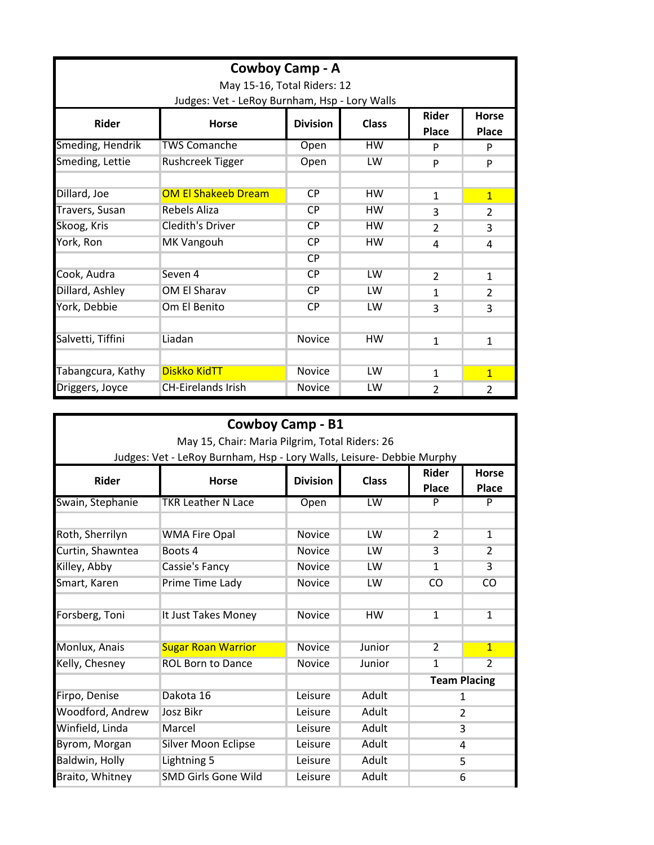| Cowboy Camp - A<br>May 15-16, Total Riders: 12<br>Judges: Vet - LeRoy Burnham, Hsp - Lory Walls |                            |               |           |                |                |  |  |
|-------------------------------------------------------------------------------------------------|----------------------------|---------------|-----------|----------------|----------------|--|--|
|                                                                                                 |                            |               |           |                |                |  |  |
| Smeding, Hendrik                                                                                | <b>TWS Comanche</b>        | Open          | <b>HW</b> | P              | P              |  |  |
| Smeding, Lettie                                                                                 | <b>Rushcreek Tigger</b>    | Open          | LW        | P              | P              |  |  |
|                                                                                                 |                            |               |           |                |                |  |  |
| Dillard, Joe                                                                                    | <b>OM El Shakeeb Dream</b> | CP            | <b>HW</b> | $\mathbf{1}$   | $\mathbf{1}$   |  |  |
| Travers, Susan                                                                                  | Rebels Aliza               | CP            | <b>HW</b> | 3              | 2              |  |  |
| Skoog, Kris                                                                                     | <b>Cledith's Driver</b>    | <b>CP</b>     | <b>HW</b> | $\overline{2}$ | 3              |  |  |
| York, Ron                                                                                       | <b>MK Vangouh</b>          | CP            | <b>HW</b> | 4              | 4              |  |  |
|                                                                                                 |                            | <b>CP</b>     |           |                |                |  |  |
| Cook, Audra                                                                                     | Seven 4                    | CP            | LW        | $\mathcal{P}$  | $\mathbf{1}$   |  |  |
| Dillard, Ashley                                                                                 | OM El Sharav               | <b>CP</b>     | LW        | 1              | $\overline{2}$ |  |  |
| York, Debbie                                                                                    | Om El Benito               | <b>CP</b>     | LW        | 3              | 3              |  |  |
|                                                                                                 |                            |               |           |                |                |  |  |
| Salvetti, Tiffini                                                                               | Liadan                     | <b>Novice</b> | <b>HW</b> | 1              | 1              |  |  |
|                                                                                                 |                            |               |           |                |                |  |  |
| Tabangcura, Kathy                                                                               | <b>Diskko KidTT</b>        | Novice        | LW        | 1              | $\mathbf{1}$   |  |  |
| Driggers, Joyce                                                                                 | <b>CH-Eirelands Irish</b>  | <b>Novice</b> | LW        | 2              | $\overline{2}$ |  |  |

| Cowboy Camp - B1<br>May 15, Chair: Maria Pilgrim, Total Riders: 26 |                                                                       |                 |              |                              |                              |  |  |  |
|--------------------------------------------------------------------|-----------------------------------------------------------------------|-----------------|--------------|------------------------------|------------------------------|--|--|--|
|                                                                    | Judges: Vet - LeRoy Burnham, Hsp - Lory Walls, Leisure- Debbie Murphy |                 |              |                              |                              |  |  |  |
| <b>Rider</b>                                                       | <b>Horse</b>                                                          | <b>Division</b> | <b>Class</b> | <b>Rider</b><br><b>Place</b> | <b>Horse</b><br><b>Place</b> |  |  |  |
| Swain, Stephanie                                                   | <b>TKR Leather N Lace</b>                                             | Open            | LW.          | P                            | P                            |  |  |  |
|                                                                    |                                                                       |                 |              |                              |                              |  |  |  |
| Roth, Sherrilyn                                                    | <b>WMA Fire Opal</b>                                                  | <b>Novice</b>   | LW           | $\overline{2}$               | $\mathbf{1}$                 |  |  |  |
| Curtin, Shawntea                                                   | Boots 4                                                               | <b>Novice</b>   | LW           | 3                            | $\mathcal{P}$                |  |  |  |
| Killey, Abby                                                       | Cassie's Fancy                                                        | <b>Novice</b>   | LW           | 1                            | $\overline{3}$               |  |  |  |
| Smart, Karen                                                       | Prime Time Lady                                                       | <b>Novice</b>   | LW           | CO                           | <b>CO</b>                    |  |  |  |
|                                                                    |                                                                       |                 |              |                              |                              |  |  |  |
| Forsberg, Toni                                                     | It Just Takes Money                                                   | <b>Novice</b>   | <b>HW</b>    | $\mathbf{1}$                 | $\mathbf{1}$                 |  |  |  |
|                                                                    |                                                                       |                 |              |                              |                              |  |  |  |
| Monlux, Anais                                                      | <b>Sugar Roan Warrior</b>                                             | <b>Novice</b>   | Junior       | $\overline{2}$               | $\mathbf{1}$                 |  |  |  |
| Kelly, Chesney                                                     | <b>ROL Born to Dance</b>                                              | <b>Novice</b>   | Junior       | $\mathbf{1}$                 | $\overline{2}$               |  |  |  |
|                                                                    |                                                                       |                 |              | <b>Team Placing</b>          |                              |  |  |  |
| Firpo, Denise                                                      | Dakota 16                                                             | Leisure         | Adult        | 1                            |                              |  |  |  |
| Woodford, Andrew                                                   | Josz Bikr                                                             | Leisure         | Adult        | 2                            |                              |  |  |  |
| Winfield, Linda                                                    | Marcel                                                                | Leisure         | Adult        | 3                            |                              |  |  |  |
| Byrom, Morgan                                                      | Silver Moon Eclipse                                                   | Leisure         | Adult        | 4                            |                              |  |  |  |
| Baldwin, Holly                                                     | Lightning 5                                                           | Leisure         | Adult        | 5                            |                              |  |  |  |
| Braito, Whitney                                                    | <b>SMD Girls Gone Wild</b>                                            | Leisure         | Adult        | 6                            |                              |  |  |  |